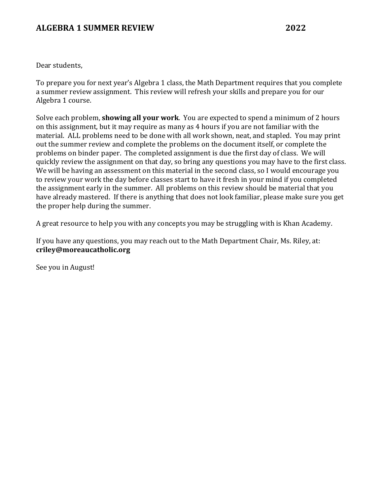#### **ALGEBRA 1 SUMMER REVIEW 2022**

Dear students,

To prepare you for next year's Algebra 1 class, the Math Department requires that you complete a summer review assignment. This review will refresh your skills and prepare you for our Algebra 1 course.

Solve each problem, **showing all your work**. You are expected to spend a minimum of 2 hours on this assignment, but it may require as many as 4 hours if you are not familiar with the material. ALL problems need to be done with all work shown, neat, and stapled. You may print out the summer review and complete the problems on the document itself, or complete the problems on binder paper. The completed assignment is due the first day of class. We will quickly review the assignment on that day, so bring any questions you may have to the first class. We will be having an assessment on this material in the second class, so I would encourage you to review your work the day before classes start to have it fresh in your mind if you completed the assignment early in the summer. All problems on this review should be material that you have already mastered. If there is anything that does not look familiar, please make sure you get the proper help during the summer.

A great resource to help you with any concepts you may be struggling with is Khan Academy.

If you have any questions, you may reach out to the Math Department Chair, Ms. Riley, at: **criley@moreaucatholic.org**

See you in August!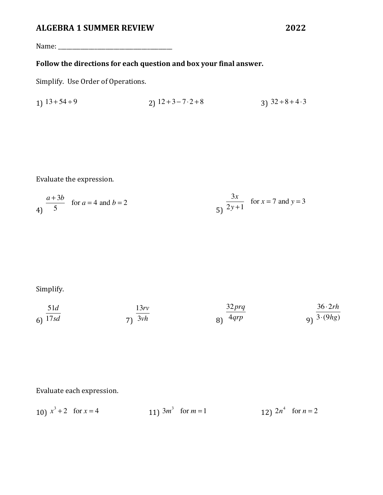Name: \_\_\_\_\_\_\_\_\_\_\_\_\_\_\_\_\_\_\_\_\_\_\_\_\_\_\_\_\_\_\_\_\_\_\_\_\_\_\_\_\_

# Follow the directions for each question and box your final answer.

Simplify. Use Order of Operations.

1) 
$$
13+54 \div 9
$$
  
2)  $12+3-7 \cdot 2+8$   
3)  $32 \div 8 + 4 \cdot 3$ 

Evaluate the expression.

$$
\frac{a+3b}{5} \text{ for } a = 4 \text{ and } b = 2
$$
\n
$$
\frac{3x}{2y+1} \text{ for } x = 7 \text{ and } y = 3
$$

Simplify.

$$
\frac{51d}{17sd}
$$
\n
$$
\frac{13rv}{3vh}
$$
\n
$$
\frac{32prq}{4qrp}
$$
\n
$$
\frac{36 \cdot 2rh}{3 \cdot (9hg)}
$$

Evaluate each expression.

| 10) $x^3 + 2$ for $x = 4$ | 11) $3m^3$ for $m=1$ | 12) $2n^4$ for $n = 2$ |
|---------------------------|----------------------|------------------------|
|---------------------------|----------------------|------------------------|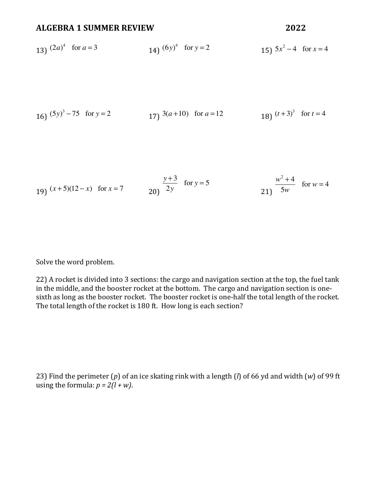#### **ALGEBRA 1 SUMMER REVIEW 2022**

13) 
$$
(2a)^4
$$
 for  $a = 3$   
14)  $(6y)^4$  for  $y = 2$   
15)  $5x^2 - 4$  for  $x = 4$ 

16) 
$$
(5y)^3 - 75
$$
 for  $y = 2$   
17)  $3(a+10)$  for  $a = 12$   
18)  $(t+3)^3$  for  $t = 4$ 

19) 
$$
(x+5)(12-x)
$$
 for  $x = 7$   
20)  $\frac{y+3}{2y}$  for  $y = 5$   
21)  $\frac{w^2+4}{5w}$  for  $w = 4$ 

Solve the word problem.

22) A rocket is divided into 3 sections: the cargo and navigation section at the top, the fuel tank in the middle, and the booster rocket at the bottom. The cargo and navigation section is onesixth as long as the booster rocket. The booster rocket is one-half the total length of the rocket. The total length of the rocket is 180 ft. How long is each section?

23) Find the perimeter  $(p)$  of an ice skating rink with a length  $(l)$  of 66 yd and width  $(w)$  of 99 ft using the formula:  $p = 2(l + w)$ .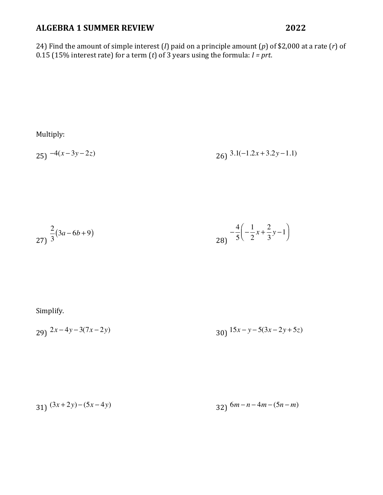24) Find the amount of simple interest  $(I)$  paid on a principle amount  $(p)$  of \$2,000 at a rate  $(r)$  of 0.15 (15% interest rate) for a term (*t*) of 3 years using the formula:  $I = prt$ .

Multiply:

$$
25) -4(x-3y-2z) \t\t\t\t26) 3.1(-1.2x+3.2y-1.1)
$$

$$
\frac{2}{3}(3a-6b+9) \qquad \qquad \frac{-4}{5}\left(-\frac{1}{2}x+\frac{2}{3}y-1\right)
$$

Simplify.

29)  $2x-4y-3(7x-2y)$  $(30)$   $15x - y - 5(3x - 2y + 5z)$ 

$$
31) \frac{(3x+2y)-(5x-4y)}{32} \frac{6m-n-4m-(5n-m)}{32}
$$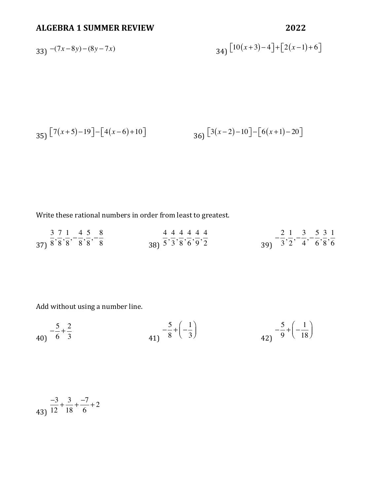$$
33) \frac{-(7x-8y)-(8y-7x)}{34} \left[10(x+3)-4\right] + \left[2(x-1)+6\right]
$$

$$
35\left[7(x+5)-19\right]-\left[4(x-6)+10\right] \qquad \qquad 36\left[3(x-2)-10\right]-\left[6(x+1)-20\right]
$$

Write these rational numbers in order from least to greatest.

| 3 7 1 4 5 8         | 444444                                                       | 2 1 3 5 3 1               |  |
|---------------------|--------------------------------------------------------------|---------------------------|--|
| $37)$ 8'8'8' 8'8' 8 | $38\frac{1}{3}$ $5\frac{1}{3}$ $8\frac{1}{6}$ $9\frac{1}{2}$ | $39)$ $3'2'$ $4'$ $6'8'6$ |  |

Add without using a number line.

$$
40 \quad -\frac{5}{6} + \frac{2}{3} \qquad 41 \quad -\frac{5}{8} + \left(-\frac{1}{3}\right) \qquad 42 \quad -\frac{5}{9} + \left(-\frac{1}{18}\right)
$$

$$
\frac{-3}{12} + \frac{3}{18} + \frac{-7}{6} + 2
$$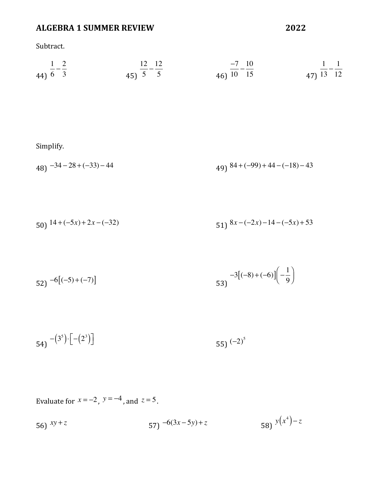Subtract.

| $1 \quad 2$     | 12 12        | $-7$ 10<br>____ | $1 \quad 1$    |
|-----------------|--------------|-----------------|----------------|
| 44) $6 \quad 3$ | 45) $5 \t 5$ | 46) $10 \t 15$  | 47) $13 \t 12$ |

Simplify.

 $(48)$   $-34 - 28 + (-33) - 44$  $49)$   $84 + (-99) + 44 - (-18) - 43$ 

50) 
$$
14 + (-5x) + 2x - (-32)
$$
  
51)  $8x - (-2x) - 14 - (-5x) + 53$ 

$$
52) -6[(-5)+(-7)]
$$
  

$$
53) -3[(-8)+(-6)](-\frac{1}{9})
$$

$$
54) -(35) \cdot [- (23)]
$$
 55) <sup>(-2)<sup>5</sup></sup>

Evaluate for  $x = -2$ ,  $y = -4$ , and  $z = 5$ .

56) 
$$
xy + z
$$
  
57)  $-6(3x-5y)+z$   
58)  $y(x^4)-z$